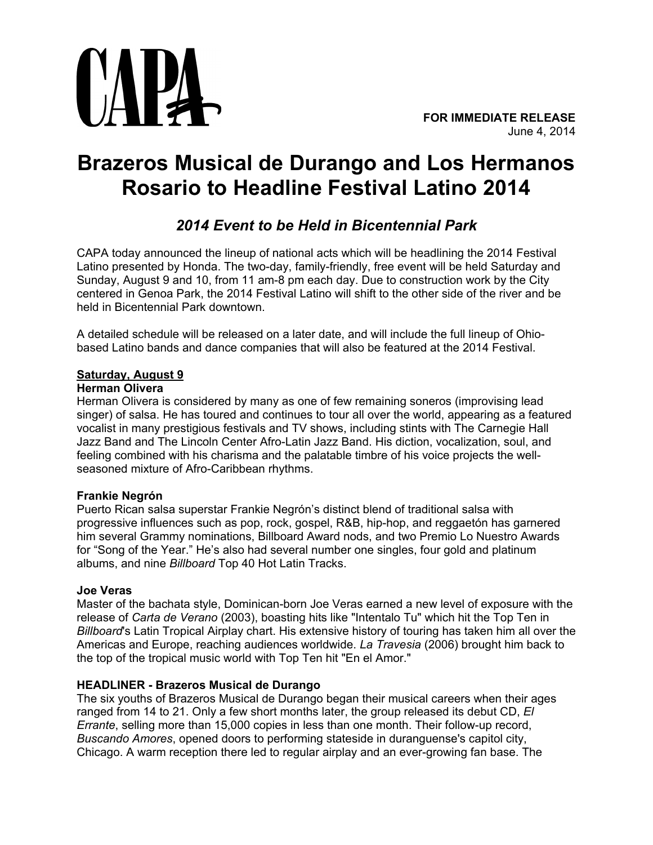

# **Brazeros Musical de Durango and Los Hermanos Rosario to Headline Festival Latino 2014**

# *2014 Event to be Held in Bicentennial Park*

CAPA today announced the lineup of national acts which will be headlining the 2014 Festival Latino presented by Honda. The two-day, family-friendly, free event will be held Saturday and Sunday, August 9 and 10, from 11 am-8 pm each day. Due to construction work by the City centered in Genoa Park, the 2014 Festival Latino will shift to the other side of the river and be held in Bicentennial Park downtown.

A detailed schedule will be released on a later date, and will include the full lineup of Ohiobased Latino bands and dance companies that will also be featured at the 2014 Festival.

# **Saturday, August 9**

# **Herman Olivera**

Herman Olivera is considered by many as one of few remaining soneros (improvising lead singer) of salsa. He has toured and continues to tour all over the world, appearing as a featured vocalist in many prestigious festivals and TV shows, including stints with The Carnegie Hall Jazz Band and The Lincoln Center Afro-Latin Jazz Band. His diction, vocalization, soul, and feeling combined with his charisma and the palatable timbre of his voice projects the wellseasoned mixture of Afro-Caribbean rhythms.

# **Frankie Negrón**

Puerto Rican salsa superstar Frankie Negrón's distinct blend of traditional salsa with progressive influences such as pop, rock, gospel, R&B, hip-hop, and reggaetón has garnered him several Grammy nominations, Billboard Award nods, and two Premio Lo Nuestro Awards for "Song of the Year." He's also had several number one singles, four gold and platinum albums, and nine *Billboard* Top 40 Hot Latin Tracks.

# **Joe Veras**

Master of the bachata style, Dominican-born Joe Veras earned a new level of exposure with the release of *Carta de Verano* (2003), boasting hits like "Intentalo Tu" which hit the Top Ten in *Billboard*'s Latin Tropical Airplay chart. His extensive history of touring has taken him all over the Americas and Europe, reaching audiences worldwide. *La Travesia* (2006) brought him back to the top of the tropical music world with Top Ten hit "En el Amor."

# **HEADLINER - Brazeros Musical de Durango**

The six youths of Brazeros Musical de Durango began their musical careers when their ages ranged from 14 to 21. Only a few short months later, the group released its debut CD, *El Errante*, selling more than 15,000 copies in less than one month. Their follow-up record, *Buscando Amores*, opened doors to performing stateside in duranguense's capitol city, Chicago. A warm reception there led to regular airplay and an ever-growing fan base. The